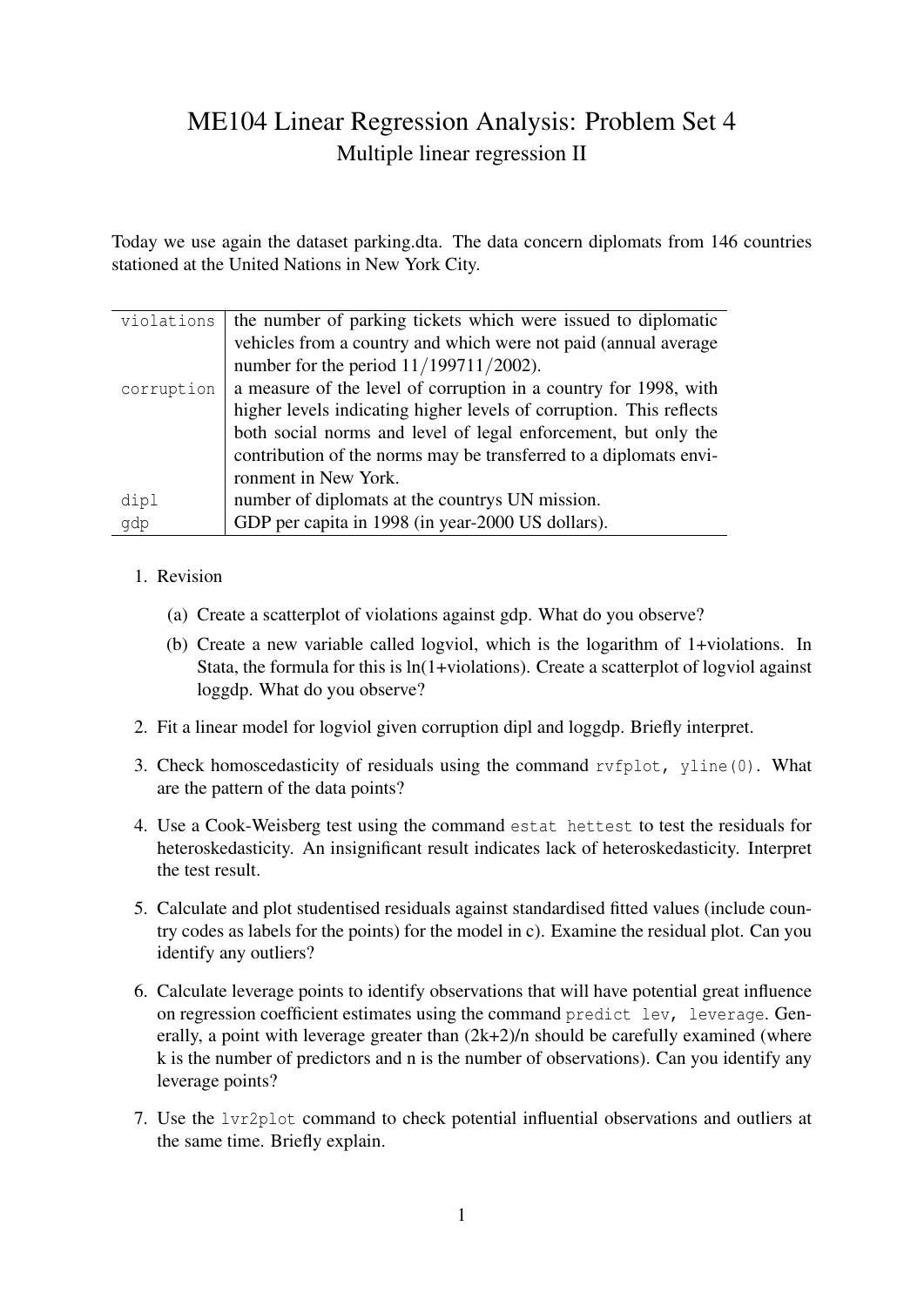## ME104 Linear Regression Analysis: Problem Set 4 Multiple linear regression II

Today we use again the dataset parking.dta. The data concern diplomats from 146 countries stationed at the United Nations in New York City.

| violations | the number of parking tickets which were issued to diplomatic                                                |
|------------|--------------------------------------------------------------------------------------------------------------|
|            | vehicles from a country and which were not paid (annual average<br>number for the period $11/199711/2002$ ). |
| corruption | a measure of the level of corruption in a country for 1998, with                                             |
|            | higher levels indicating higher levels of corruption. This reflects                                          |
|            | both social norms and level of legal enforcement, but only the                                               |
|            | contribution of the norms may be transferred to a diplomats envi-                                            |
|            | ronment in New York.                                                                                         |
| dipl       | number of diplomats at the countrys UN mission.                                                              |
| qdp        | GDP per capita in 1998 (in year-2000 US dollars).                                                            |

## 1. Revision

- (a) Create a scatterplot of violations against gdp. What do you observe?
- (b) Create a new variable called logviol, which is the logarithm of 1+violations. In Stata, the formula for this is ln(1+violations). Create a scatterplot of logviol against loggdp. What do you observe?
- 2. Fit a linear model for logviol given corruption dipl and loggdp. Briefly interpret.
- 3. Check homoscedasticity of residuals using the command rvfplot, yline(0). What are the pattern of the data points?
- 4. Use a Cook-Weisberg test using the command estat hettest to test the residuals for heteroskedasticity. An insignificant result indicates lack of heteroskedasticity. Interpret the test result.
- 5. Calculate and plot studentised residuals against standardised fitted values (include country codes as labels for the points) for the model in c). Examine the residual plot. Can you identify any outliers?
- 6. Calculate leverage points to identify observations that will have potential great influence on regression coefficient estimates using the command predict lev, leverage. Generally, a point with leverage greater than  $(2k+2)/n$  should be carefully examined (where k is the number of predictors and n is the number of observations). Can you identify any leverage points?
- 7. Use the lvr2plot command to check potential influential observations and outliers at the same time. Briefly explain.